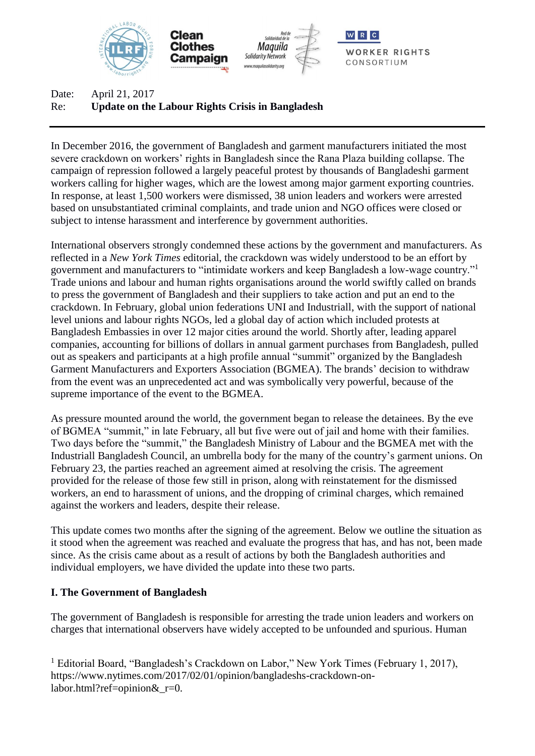

Date: April 21, 2017 Re: **Update on the Labour Rights Crisis in Bangladesh**

In December 2016, the government of Bangladesh and garment manufacturers initiated the most severe crackdown on workers' rights in Bangladesh since the Rana Plaza building collapse. The campaign of repression followed a largely peaceful protest by thousands of Bangladeshi garment workers calling for higher wages, which are the lowest among major garment exporting countries. In response, at least 1,500 workers were dismissed, 38 union leaders and workers were arrested based on unsubstantiated criminal complaints, and trade union and NGO offices were closed or subject to intense harassment and interference by government authorities.

International observers strongly condemned these actions by the government and manufacturers. As reflected in a *New York Times* editorial, the crackdown was widely understood to be an effort by government and manufacturers to "intimidate workers and keep Bangladesh a low-wage country."<sup>1</sup> Trade unions and labour and human rights organisations around the world swiftly called on brands to press the government of Bangladesh and their suppliers to take action and put an end to the crackdown. In February, global union federations UNI and Industriall, with the support of national level unions and labour rights NGOs, led a global day of action which included protests at Bangladesh Embassies in over 12 major cities around the world. Shortly after, leading apparel companies, accounting for billions of dollars in annual garment purchases from Bangladesh, pulled out as speakers and participants at a high profile annual "summit" organized by the Bangladesh Garment Manufacturers and Exporters Association (BGMEA). The brands' decision to withdraw from the event was an unprecedented act and was symbolically very powerful, because of the supreme importance of the event to the BGMEA.

As pressure mounted around the world, the government began to release the detainees. By the eve of BGMEA "summit," in late February, all but five were out of jail and home with their families. Two days before the "summit," the Bangladesh Ministry of Labour and the BGMEA met with the Industriall Bangladesh Council, an umbrella body for the many of the country's garment unions. On February 23, the parties reached an agreement aimed at resolving the crisis. The agreement provided for the release of those few still in prison, along with reinstatement for the dismissed workers, an end to harassment of unions, and the dropping of criminal charges, which remained against the workers and leaders, despite their release.

This update comes two months after the signing of the agreement. Below we outline the situation as it stood when the agreement was reached and evaluate the progress that has, and has not, been made since. As the crisis came about as a result of actions by both the Bangladesh authorities and individual employers, we have divided the update into these two parts.

### **I. The Government of Bangladesh**

The government of Bangladesh is responsible for arresting the trade union leaders and workers on charges that international observers have widely accepted to be unfounded and spurious. Human

<sup>1</sup> Editorial Board, "Bangladesh's Crackdown on Labor," New York Times (February 1, 2017), https://www.nytimes.com/2017/02/01/opinion/bangladeshs-crackdown-onlabor.html?ref=opinion& r=0.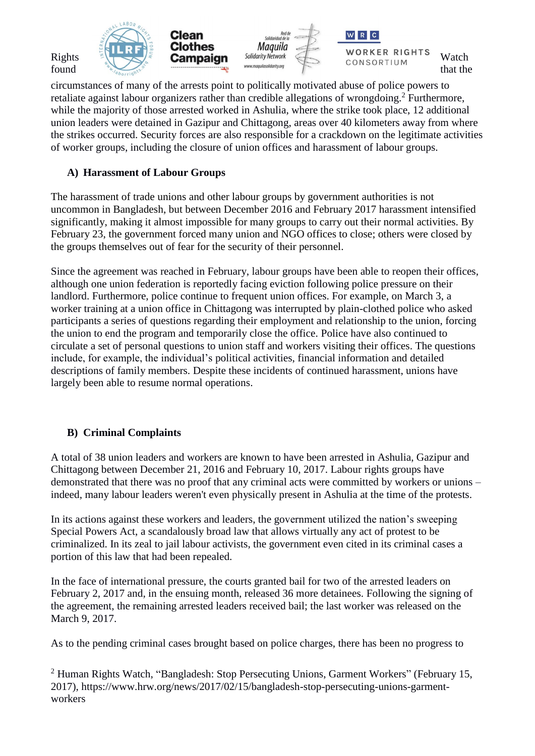

circumstances of many of the arrests point to politically motivated abuse of police powers to retaliate against labour organizers rather than credible allegations of wrongdoing.<sup>2</sup> Furthermore, while the majority of those arrested worked in Ashulia, where the strike took place, 12 additional union leaders were detained in Gazipur and Chittagong, areas over 40 kilometers away from where the strikes occurred. Security forces are also responsible for a crackdown on the legitimate activities of worker groups, including the closure of union offices and harassment of labour groups.

## **A) Harassment of Labour Groups**

The harassment of trade unions and other labour groups by government authorities is not uncommon in Bangladesh, but between December 2016 and February 2017 harassment intensified significantly, making it almost impossible for many groups to carry out their normal activities. By February 23, the government forced many union and NGO offices to close; others were closed by the groups themselves out of fear for the security of their personnel.

Since the agreement was reached in February, labour groups have been able to reopen their offices, although one union federation is reportedly facing eviction following police pressure on their landlord. Furthermore, police continue to frequent union offices. For example, on March 3, a worker training at a union office in Chittagong was interrupted by plain-clothed police who asked participants a series of questions regarding their employment and relationship to the union, forcing the union to end the program and temporarily close the office. Police have also continued to circulate a set of personal questions to union staff and workers visiting their offices. The questions include, for example, the individual's political activities, financial information and detailed descriptions of family members. Despite these incidents of continued harassment, unions have largely been able to resume normal operations.

# **B) Criminal Complaints**

A total of 38 union leaders and workers are known to have been arrested in Ashulia, Gazipur and Chittagong between December 21, 2016 and February 10, 2017. Labour rights groups have demonstrated that there was no proof that any criminal acts were committed by workers or unions – indeed, many labour leaders weren't even physically present in Ashulia at the time of the protests.

In its actions against these workers and leaders, the government utilized the nation's sweeping Special Powers Act, a scandalously broad law that allows virtually any act of protest to be criminalized. In its zeal to jail labour activists, the government even cited in its criminal cases a portion of this law that had been repealed.

In the face of international pressure, the courts granted bail for two of the arrested leaders on February 2, 2017 and, in the ensuing month, released 36 more detainees. Following the signing of the agreement, the remaining arrested leaders received bail; the last worker was released on the March 9, 2017.

As to the pending criminal cases brought based on police charges, there has been no progress to

<sup>2</sup> Human Rights Watch, "Bangladesh: Stop Persecuting Unions, Garment Workers" (February 15, 2017), https://www.hrw.org/news/2017/02/15/bangladesh-stop-persecuting-unions-garmentworkers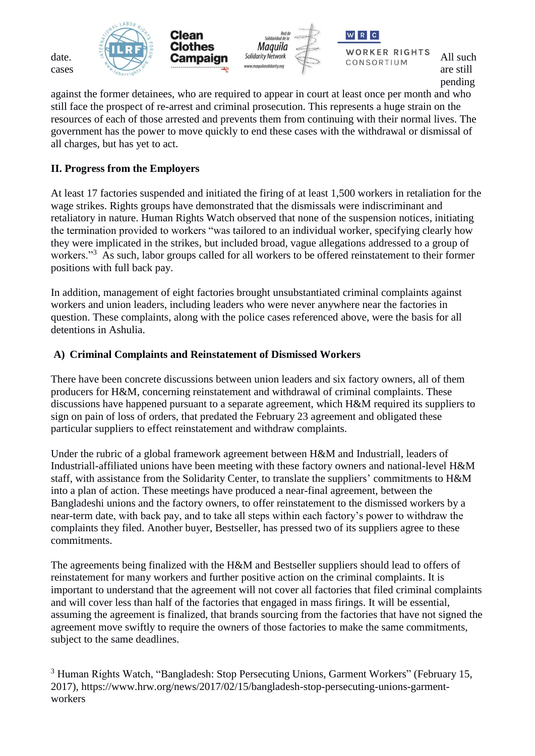

pending

against the former detainees, who are required to appear in court at least once per month and who still face the prospect of re-arrest and criminal prosecution. This represents a huge strain on the resources of each of those arrested and prevents them from continuing with their normal lives. The government has the power to move quickly to end these cases with the withdrawal or dismissal of all charges, but has yet to act.

## **II. Progress from the Employers**

At least 17 factories suspended and initiated the firing of at least 1,500 workers in retaliation for the wage strikes. Rights groups have demonstrated that the dismissals were indiscriminant and retaliatory in nature. Human Rights Watch observed that none of the suspension notices, initiating the termination provided to workers "was tailored to an individual worker, specifying clearly how they were implicated in the strikes, but included broad, vague allegations addressed to a group of workers."<sup>3</sup> As such, labor groups called for all workers to be offered reinstatement to their former positions with full back pay.

In addition, management of eight factories brought unsubstantiated criminal complaints against workers and union leaders, including leaders who were never anywhere near the factories in question. These complaints, along with the police cases referenced above, were the basis for all detentions in Ashulia.

### **A) Criminal Complaints and Reinstatement of Dismissed Workers**

There have been concrete discussions between union leaders and six factory owners, all of them producers for H&M, concerning reinstatement and withdrawal of criminal complaints. These discussions have happened pursuant to a separate agreement, which H&M required its suppliers to sign on pain of loss of orders, that predated the February 23 agreement and obligated these particular suppliers to effect reinstatement and withdraw complaints.

Under the rubric of a global framework agreement between H&M and Industriall, leaders of Industriall-affiliated unions have been meeting with these factory owners and national-level H&M staff, with assistance from the Solidarity Center, to translate the suppliers' commitments to H&M into a plan of action. These meetings have produced a near-final agreement, between the Bangladeshi unions and the factory owners, to offer reinstatement to the dismissed workers by a near-term date, with back pay, and to take all steps within each factory's power to withdraw the complaints they filed. Another buyer, Bestseller, has pressed two of its suppliers agree to these commitments.

The agreements being finalized with the H&M and Bestseller suppliers should lead to offers of reinstatement for many workers and further positive action on the criminal complaints. It is important to understand that the agreement will not cover all factories that filed criminal complaints and will cover less than half of the factories that engaged in mass firings. It will be essential, assuming the agreement is finalized, that brands sourcing from the factories that have not signed the agreement move swiftly to require the owners of those factories to make the same commitments, subject to the same deadlines.

<sup>3</sup> Human Rights Watch, "Bangladesh: Stop Persecuting Unions, Garment Workers" (February 15, 2017), https://www.hrw.org/news/2017/02/15/bangladesh-stop-persecuting-unions-garmentworkers